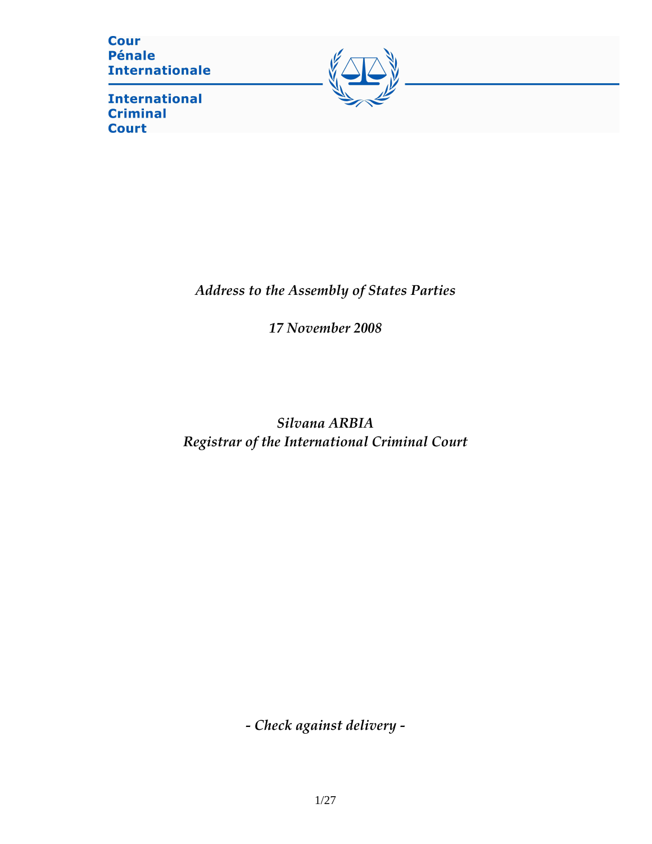**Cour Pénale Internationale** 

**International Criminal Court** 



Address to the Assembly of States Parties

17 November 2008

Silvana ARBIA Registrar of the International Criminal Court

- Check against delivery -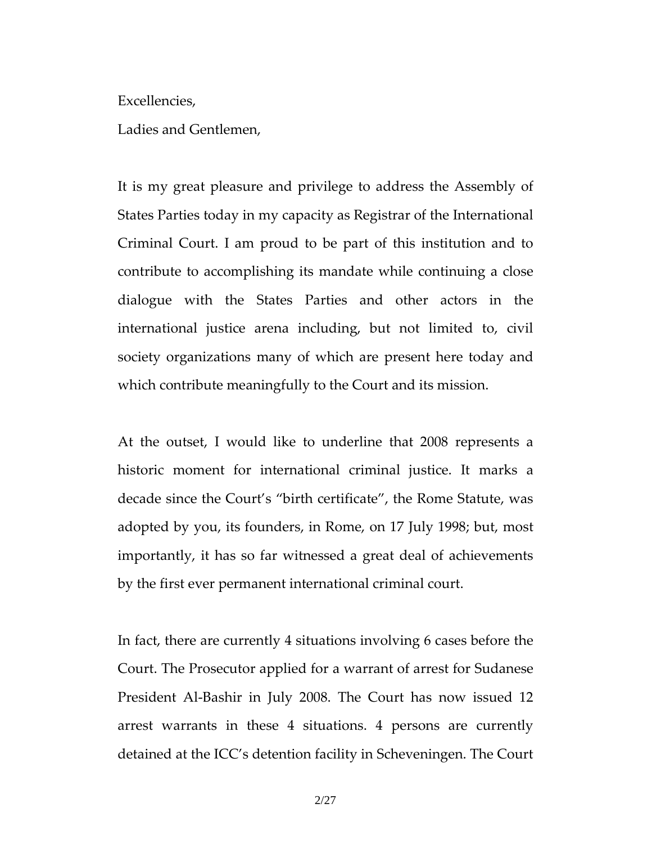Excellencies,

Ladies and Gentlemen,

It is my great pleasure and privilege to address the Assembly of States Parties today in my capacity as Registrar of the International Criminal Court. I am proud to be part of this institution and to contribute to accomplishing its mandate while continuing a close dialogue with the States Parties and other actors in the international justice arena including, but not limited to, civil society organizations many of which are present here today and which contribute meaningfully to the Court and its mission.

At the outset, I would like to underline that 2008 represents a historic moment for international criminal justice. It marks a decade since the Court's "birth certificate", the Rome Statute, was adopted by you, its founders, in Rome, on 17 July 1998; but, most importantly, it has so far witnessed a great deal of achievements by the first ever permanent international criminal court.

In fact, there are currently 4 situations involving 6 cases before the Court. The Prosecutor applied for a warrant of arrest for Sudanese President Al-Bashir in July 2008. The Court has now issued 12 arrest warrants in these 4 situations. 4 persons are currently detained at the ICC's detention facility in Scheveningen. The Court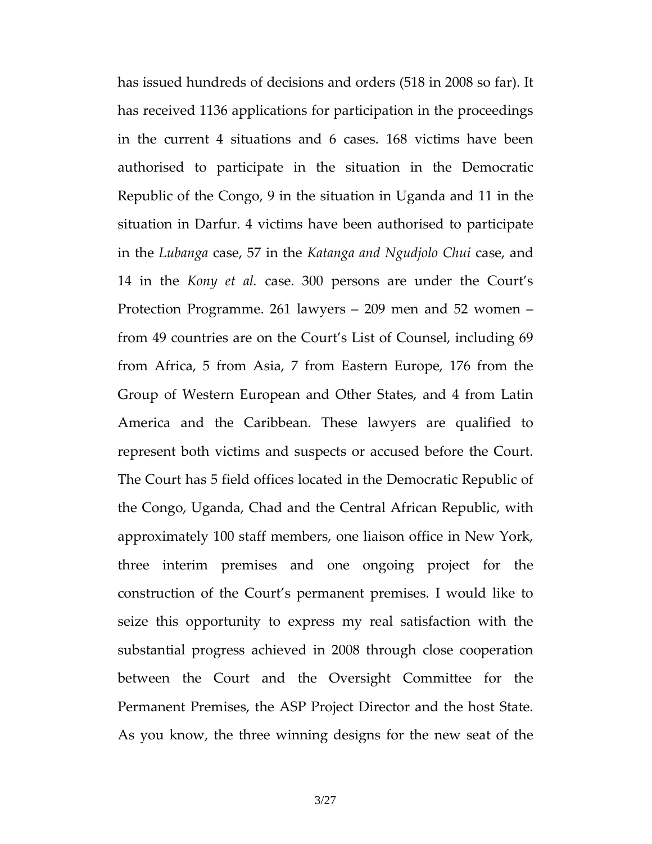has issued hundreds of decisions and orders (518 in 2008 so far). It has received 1136 applications for participation in the proceedings in the current 4 situations and 6 cases. 168 victims have been authorised to participate in the situation in the Democratic Republic of the Congo, 9 in the situation in Uganda and 11 in the situation in Darfur. 4 victims have been authorised to participate in the Lubanga case, 57 in the Katanga and Ngudjolo Chui case, and 14 in the Kony et al. case. 300 persons are under the Court's Protection Programme. 261 lawyers – 209 men and 52 women – from 49 countries are on the Court's List of Counsel, including 69 from Africa, 5 from Asia, 7 from Eastern Europe, 176 from the Group of Western European and Other States, and 4 from Latin America and the Caribbean. These lawyers are qualified to represent both victims and suspects or accused before the Court. The Court has 5 field offices located in the Democratic Republic of the Congo, Uganda, Chad and the Central African Republic, with approximately 100 staff members, one liaison office in New York, three interim premises and one ongoing project for the construction of the Court's permanent premises. I would like to seize this opportunity to express my real satisfaction with the substantial progress achieved in 2008 through close cooperation between the Court and the Oversight Committee for the Permanent Premises, the ASP Project Director and the host State. As you know, the three winning designs for the new seat of the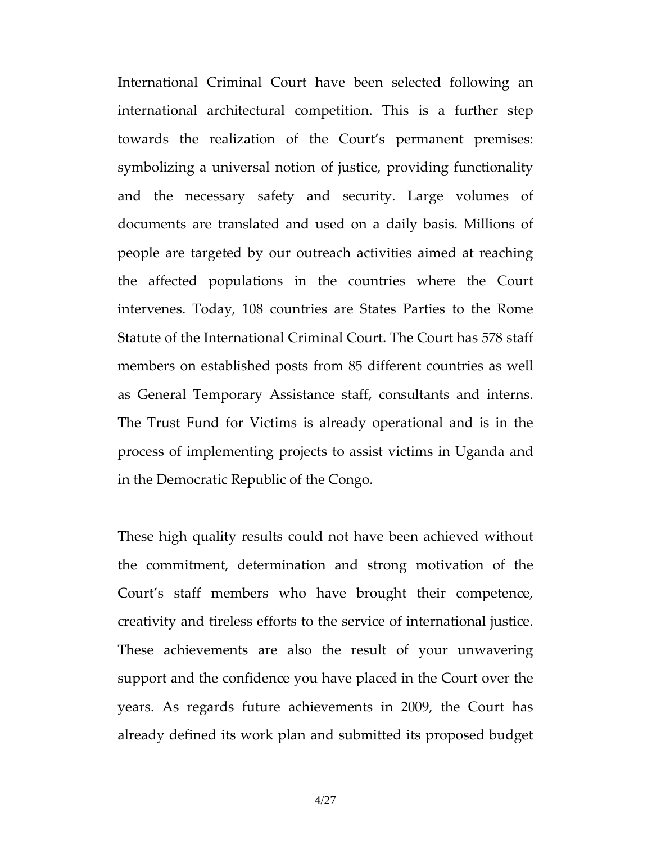International Criminal Court have been selected following an international architectural competition. This is a further step towards the realization of the Court's permanent premises: symbolizing a universal notion of justice, providing functionality and the necessary safety and security. Large volumes of documents are translated and used on a daily basis. Millions of people are targeted by our outreach activities aimed at reaching the affected populations in the countries where the Court intervenes. Today, 108 countries are States Parties to the Rome Statute of the International Criminal Court. The Court has 578 staff members on established posts from 85 different countries as well as General Temporary Assistance staff, consultants and interns. The Trust Fund for Victims is already operational and is in the process of implementing projects to assist victims in Uganda and in the Democratic Republic of the Congo.

These high quality results could not have been achieved without the commitment, determination and strong motivation of the Court's staff members who have brought their competence, creativity and tireless efforts to the service of international justice. These achievements are also the result of your unwavering support and the confidence you have placed in the Court over the years. As regards future achievements in 2009, the Court has already defined its work plan and submitted its proposed budget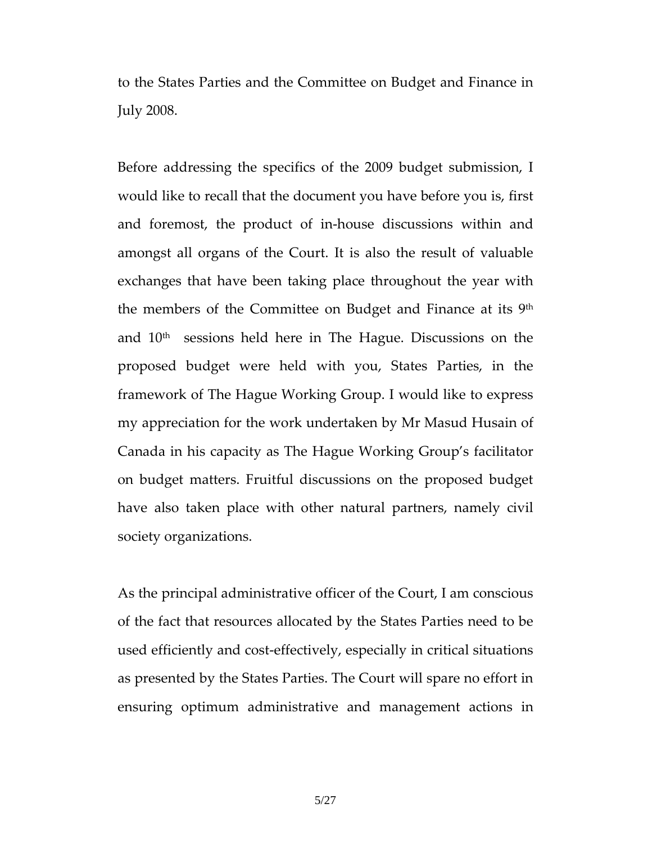to the States Parties and the Committee on Budget and Finance in July 2008.

Before addressing the specifics of the 2009 budget submission, I would like to recall that the document you have before you is, first and foremost, the product of in-house discussions within and amongst all organs of the Court. It is also the result of valuable exchanges that have been taking place throughout the year with the members of the Committee on Budget and Finance at its 9th and  $10<sup>th</sup>$  sessions held here in The Hague. Discussions on the proposed budget were held with you, States Parties, in the framework of The Hague Working Group. I would like to express my appreciation for the work undertaken by Mr Masud Husain of Canada in his capacity as The Hague Working Group's facilitator on budget matters. Fruitful discussions on the proposed budget have also taken place with other natural partners, namely civil society organizations.

As the principal administrative officer of the Court, I am conscious of the fact that resources allocated by the States Parties need to be used efficiently and cost-effectively, especially in critical situations as presented by the States Parties. The Court will spare no effort in ensuring optimum administrative and management actions in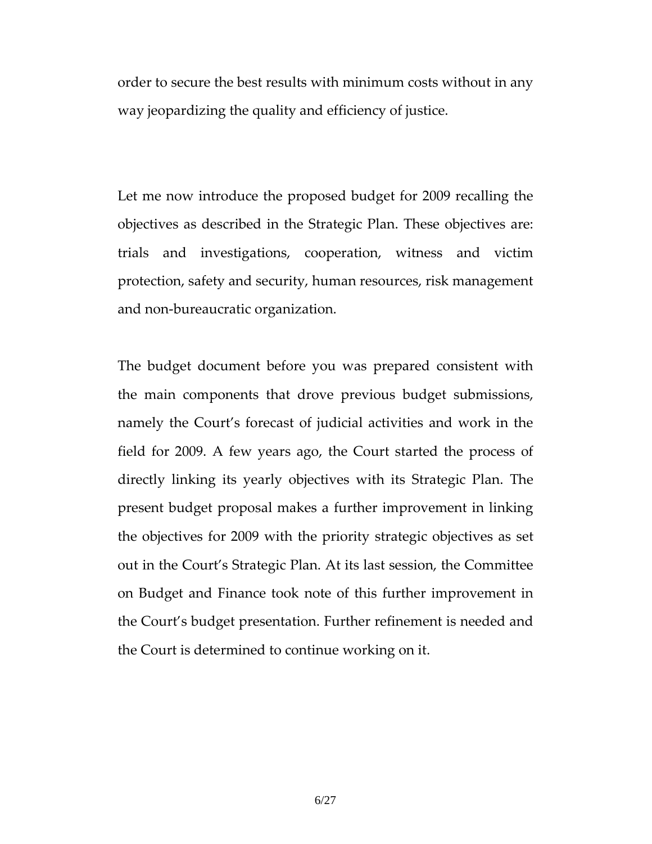order to secure the best results with minimum costs without in any way jeopardizing the quality and efficiency of justice.

Let me now introduce the proposed budget for 2009 recalling the objectives as described in the Strategic Plan. These objectives are: trials and investigations, cooperation, witness and victim protection, safety and security, human resources, risk management and non-bureaucratic organization.

The budget document before you was prepared consistent with the main components that drove previous budget submissions, namely the Court's forecast of judicial activities and work in the field for 2009. A few years ago, the Court started the process of directly linking its yearly objectives with its Strategic Plan. The present budget proposal makes a further improvement in linking the objectives for 2009 with the priority strategic objectives as set out in the Court's Strategic Plan. At its last session, the Committee on Budget and Finance took note of this further improvement in the Court's budget presentation. Further refinement is needed and the Court is determined to continue working on it.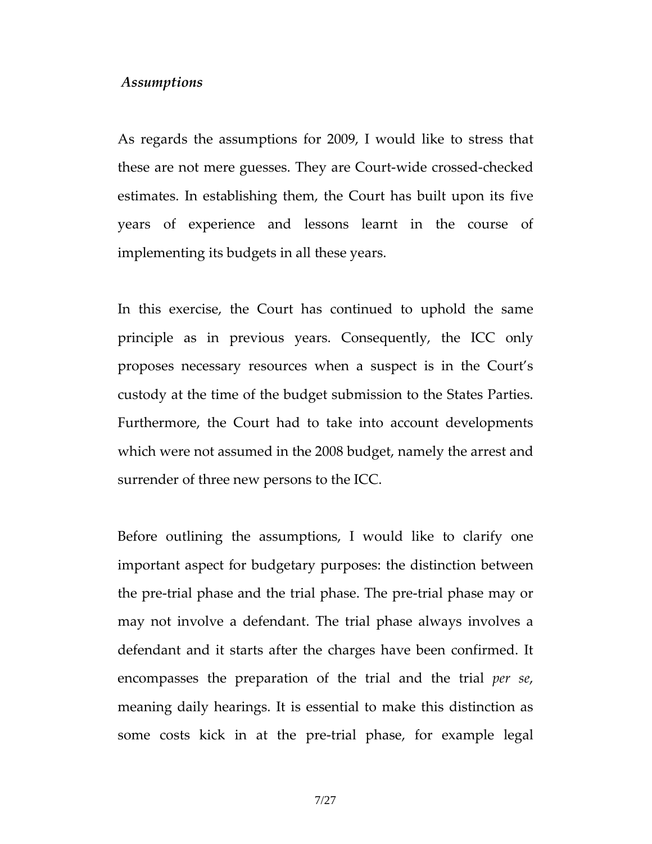#### Assumptions

As regards the assumptions for 2009, I would like to stress that these are not mere guesses. They are Court-wide crossed-checked estimates. In establishing them, the Court has built upon its five years of experience and lessons learnt in the course of implementing its budgets in all these years.

In this exercise, the Court has continued to uphold the same principle as in previous years. Consequently, the ICC only proposes necessary resources when a suspect is in the Court's custody at the time of the budget submission to the States Parties. Furthermore, the Court had to take into account developments which were not assumed in the 2008 budget, namely the arrest and surrender of three new persons to the ICC.

Before outlining the assumptions, I would like to clarify one important aspect for budgetary purposes: the distinction between the pre-trial phase and the trial phase. The pre-trial phase may or may not involve a defendant. The trial phase always involves a defendant and it starts after the charges have been confirmed. It encompasses the preparation of the trial and the trial *per se*, meaning daily hearings. It is essential to make this distinction as some costs kick in at the pre-trial phase, for example legal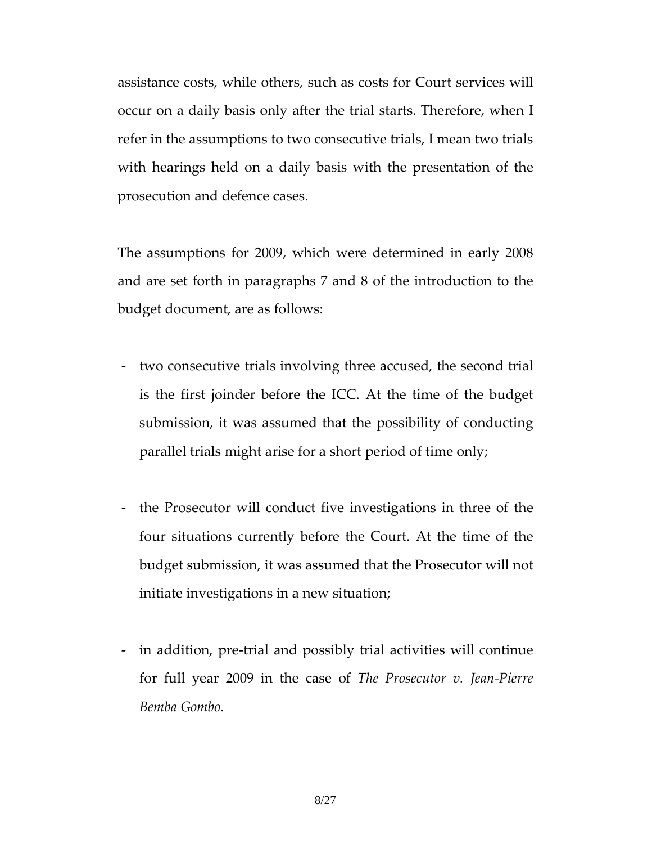assistance costs, while others, such as costs for Court services will occur on a daily basis only after the trial starts. Therefore, when I refer in the assumptions to two consecutive trials, I mean two trials with hearings held on a daily basis with the presentation of the prosecution and defence cases.

The assumptions for 2009, which were determined in early 2008 and are set forth in paragraphs 7 and 8 of the introduction to the budget document, are as follows:

- two consecutive trials involving three accused, the second trial is the first joinder before the ICC. At the time of the budget submission, it was assumed that the possibility of conducting parallel trials might arise for a short period of time only;
- the Prosecutor will conduct five investigations in three of the four situations currently before the Court. At the time of the budget submission, it was assumed that the Prosecutor will not initiate investigations in a new situation;
- in addition, pre-trial and possibly trial activities will continue for full year 2009 in the case of The Prosecutor v. Jean-Pierre Bemba Gombo.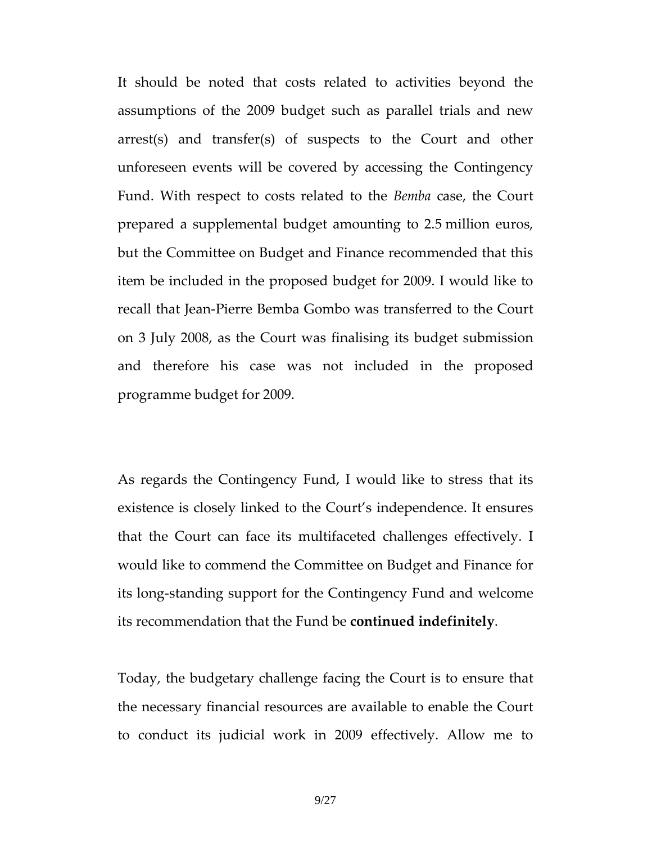It should be noted that costs related to activities beyond the assumptions of the 2009 budget such as parallel trials and new arrest(s) and transfer(s) of suspects to the Court and other unforeseen events will be covered by accessing the Contingency Fund. With respect to costs related to the Bemba case, the Court prepared a supplemental budget amounting to 2.5 million euros, but the Committee on Budget and Finance recommended that this item be included in the proposed budget for 2009. I would like to recall that Jean-Pierre Bemba Gombo was transferred to the Court on 3 July 2008, as the Court was finalising its budget submission and therefore his case was not included in the proposed programme budget for 2009.

As regards the Contingency Fund, I would like to stress that its existence is closely linked to the Court's independence. It ensures that the Court can face its multifaceted challenges effectively. I would like to commend the Committee on Budget and Finance for its long-standing support for the Contingency Fund and welcome its recommendation that the Fund be continued indefinitely.

Today, the budgetary challenge facing the Court is to ensure that the necessary financial resources are available to enable the Court to conduct its judicial work in 2009 effectively. Allow me to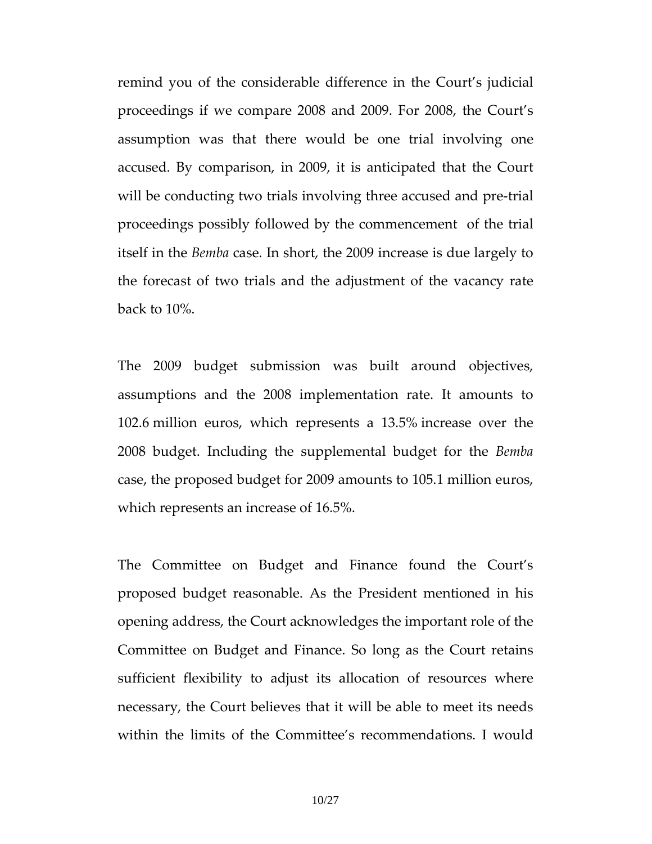remind you of the considerable difference in the Court's judicial proceedings if we compare 2008 and 2009. For 2008, the Court's assumption was that there would be one trial involving one accused. By comparison, in 2009, it is anticipated that the Court will be conducting two trials involving three accused and pre-trial proceedings possibly followed by the commencement of the trial itself in the Bemba case. In short, the 2009 increase is due largely to the forecast of two trials and the adjustment of the vacancy rate back to 10%.

The 2009 budget submission was built around objectives, assumptions and the 2008 implementation rate. It amounts to 102.6 million euros, which represents a 13.5% increase over the 2008 budget. Including the supplemental budget for the Bemba case, the proposed budget for 2009 amounts to 105.1 million euros, which represents an increase of 16.5%.

The Committee on Budget and Finance found the Court's proposed budget reasonable. As the President mentioned in his opening address, the Court acknowledges the important role of the Committee on Budget and Finance. So long as the Court retains sufficient flexibility to adjust its allocation of resources where necessary, the Court believes that it will be able to meet its needs within the limits of the Committee's recommendations. I would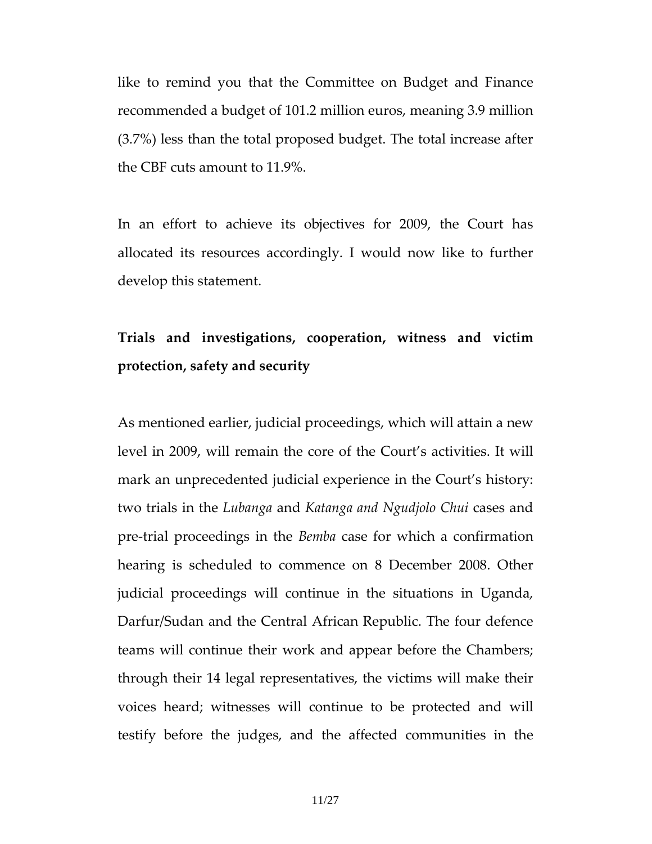like to remind you that the Committee on Budget and Finance recommended a budget of 101.2 million euros, meaning 3.9 million (3.7%) less than the total proposed budget. The total increase after the CBF cuts amount to 11.9%.

In an effort to achieve its objectives for 2009, the Court has allocated its resources accordingly. I would now like to further develop this statement.

# Trials and investigations, cooperation, witness and victim protection, safety and security

As mentioned earlier, judicial proceedings, which will attain a new level in 2009, will remain the core of the Court's activities. It will mark an unprecedented judicial experience in the Court's history: two trials in the Lubanga and Katanga and Ngudjolo Chui cases and pre-trial proceedings in the Bemba case for which a confirmation hearing is scheduled to commence on 8 December 2008. Other judicial proceedings will continue in the situations in Uganda, Darfur/Sudan and the Central African Republic. The four defence teams will continue their work and appear before the Chambers; through their 14 legal representatives, the victims will make their voices heard; witnesses will continue to be protected and will testify before the judges, and the affected communities in the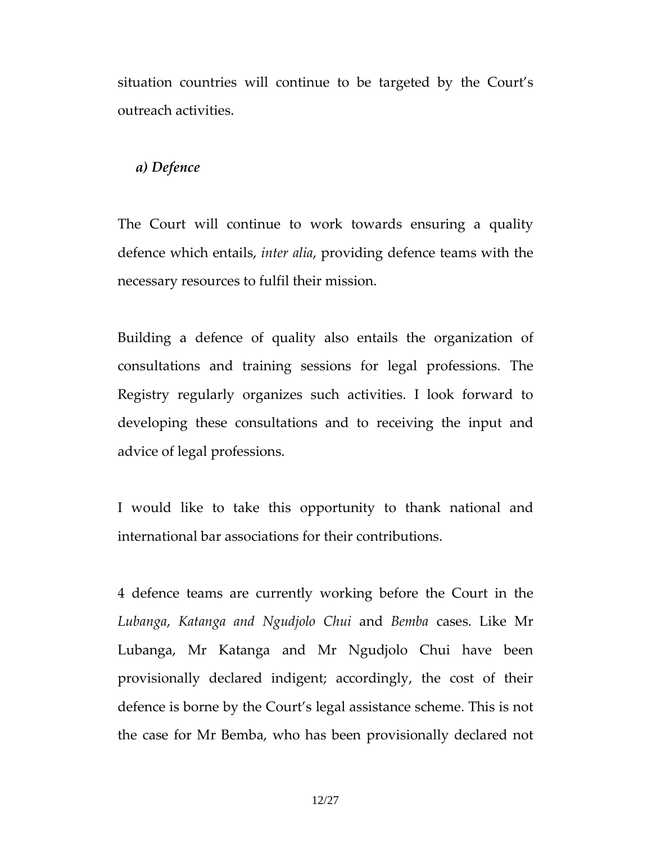situation countries will continue to be targeted by the Court's outreach activities.

## a) Defence

The Court will continue to work towards ensuring a quality defence which entails, inter alia, providing defence teams with the necessary resources to fulfil their mission.

Building a defence of quality also entails the organization of consultations and training sessions for legal professions. The Registry regularly organizes such activities. I look forward to developing these consultations and to receiving the input and advice of legal professions.

I would like to take this opportunity to thank national and international bar associations for their contributions.

4 defence teams are currently working before the Court in the Lubanga, Katanga and Ngudjolo Chui and Bemba cases. Like Mr Lubanga, Mr Katanga and Mr Ngudjolo Chui have been provisionally declared indigent; accordingly, the cost of their defence is borne by the Court's legal assistance scheme. This is not the case for Mr Bemba, who has been provisionally declared not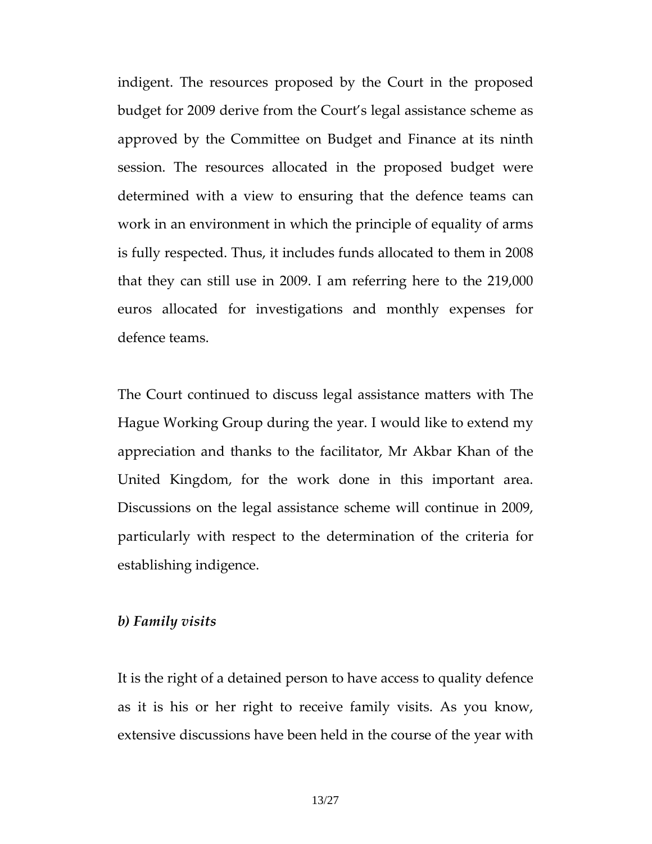indigent. The resources proposed by the Court in the proposed budget for 2009 derive from the Court's legal assistance scheme as approved by the Committee on Budget and Finance at its ninth session. The resources allocated in the proposed budget were determined with a view to ensuring that the defence teams can work in an environment in which the principle of equality of arms is fully respected. Thus, it includes funds allocated to them in 2008 that they can still use in 2009. I am referring here to the 219,000 euros allocated for investigations and monthly expenses for defence teams.

The Court continued to discuss legal assistance matters with The Hague Working Group during the year. I would like to extend my appreciation and thanks to the facilitator, Mr Akbar Khan of the United Kingdom, for the work done in this important area. Discussions on the legal assistance scheme will continue in 2009, particularly with respect to the determination of the criteria for establishing indigence.

### b) Family visits

It is the right of a detained person to have access to quality defence as it is his or her right to receive family visits. As you know, extensive discussions have been held in the course of the year with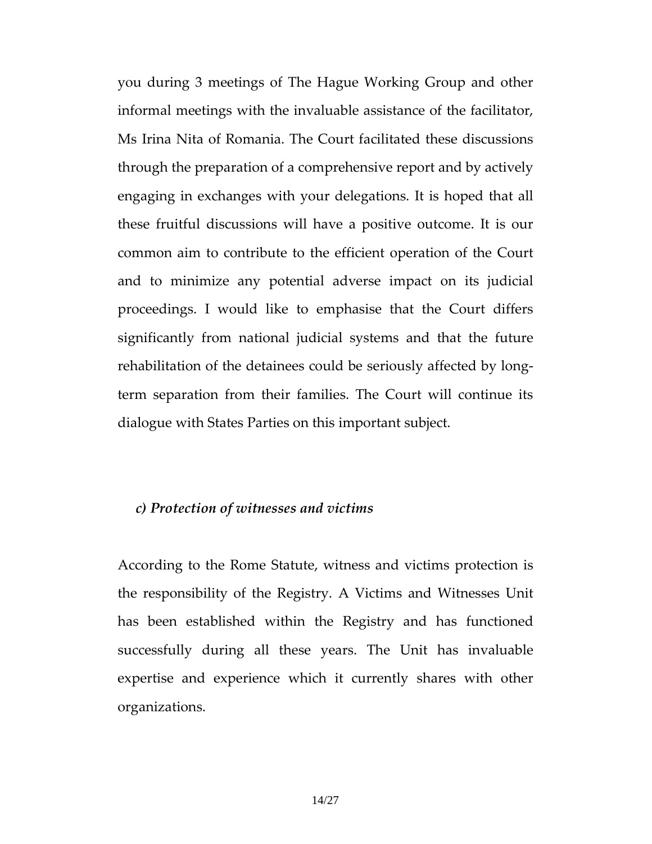you during 3 meetings of The Hague Working Group and other informal meetings with the invaluable assistance of the facilitator, Ms Irina Nita of Romania. The Court facilitated these discussions through the preparation of a comprehensive report and by actively engaging in exchanges with your delegations. It is hoped that all these fruitful discussions will have a positive outcome. It is our common aim to contribute to the efficient operation of the Court and to minimize any potential adverse impact on its judicial proceedings. I would like to emphasise that the Court differs significantly from national judicial systems and that the future rehabilitation of the detainees could be seriously affected by longterm separation from their families. The Court will continue its dialogue with States Parties on this important subject.

#### c) Protection of witnesses and victims

According to the Rome Statute, witness and victims protection is the responsibility of the Registry. A Victims and Witnesses Unit has been established within the Registry and has functioned successfully during all these years. The Unit has invaluable expertise and experience which it currently shares with other organizations.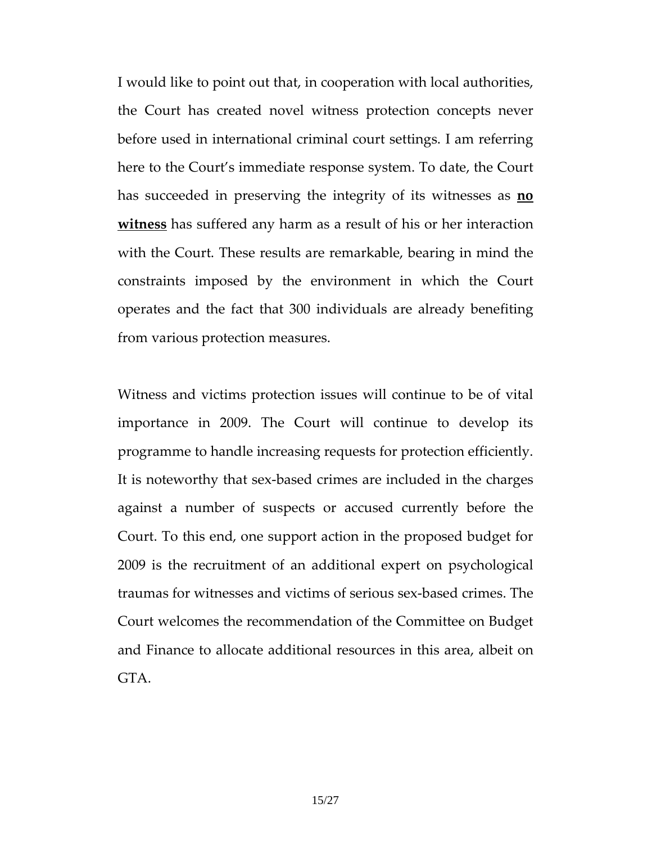I would like to point out that, in cooperation with local authorities, the Court has created novel witness protection concepts never before used in international criminal court settings. I am referring here to the Court's immediate response system. To date, the Court has succeeded in preserving the integrity of its witnesses as **no** witness has suffered any harm as a result of his or her interaction with the Court. These results are remarkable, bearing in mind the constraints imposed by the environment in which the Court operates and the fact that 300 individuals are already benefiting from various protection measures.

Witness and victims protection issues will continue to be of vital importance in 2009. The Court will continue to develop its programme to handle increasing requests for protection efficiently. It is noteworthy that sex-based crimes are included in the charges against a number of suspects or accused currently before the Court. To this end, one support action in the proposed budget for 2009 is the recruitment of an additional expert on psychological traumas for witnesses and victims of serious sex-based crimes. The Court welcomes the recommendation of the Committee on Budget and Finance to allocate additional resources in this area, albeit on GTA.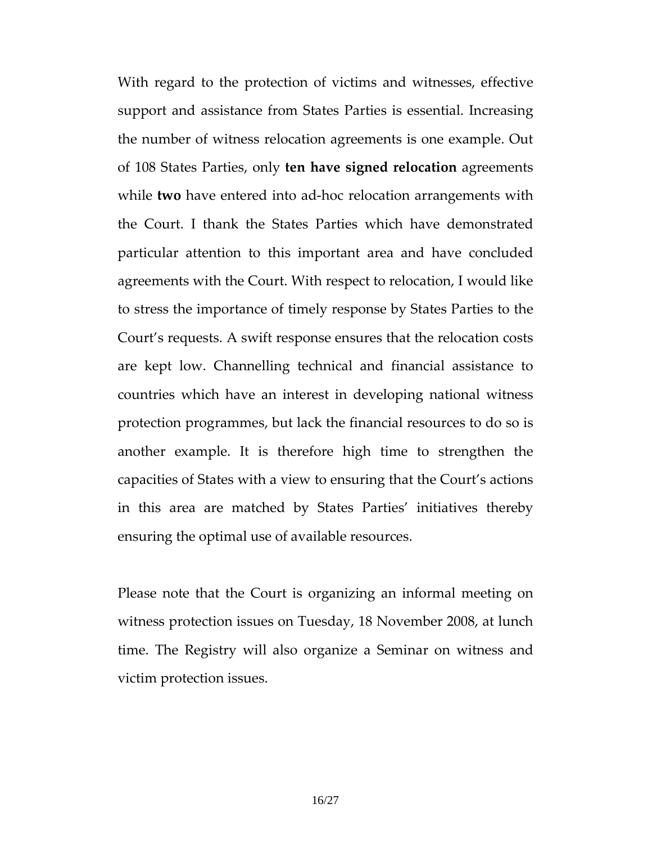With regard to the protection of victims and witnesses, effective support and assistance from States Parties is essential. Increasing the number of witness relocation agreements is one example. Out of 108 States Parties, only ten have signed relocation agreements while two have entered into ad-hoc relocation arrangements with the Court. I thank the States Parties which have demonstrated particular attention to this important area and have concluded agreements with the Court. With respect to relocation, I would like to stress the importance of timely response by States Parties to the Court's requests. A swift response ensures that the relocation costs are kept low. Channelling technical and financial assistance to countries which have an interest in developing national witness protection programmes, but lack the financial resources to do so is another example. It is therefore high time to strengthen the capacities of States with a view to ensuring that the Court's actions in this area are matched by States Parties' initiatives thereby ensuring the optimal use of available resources.

Please note that the Court is organizing an informal meeting on witness protection issues on Tuesday, 18 November 2008, at lunch time. The Registry will also organize a Seminar on witness and victim protection issues.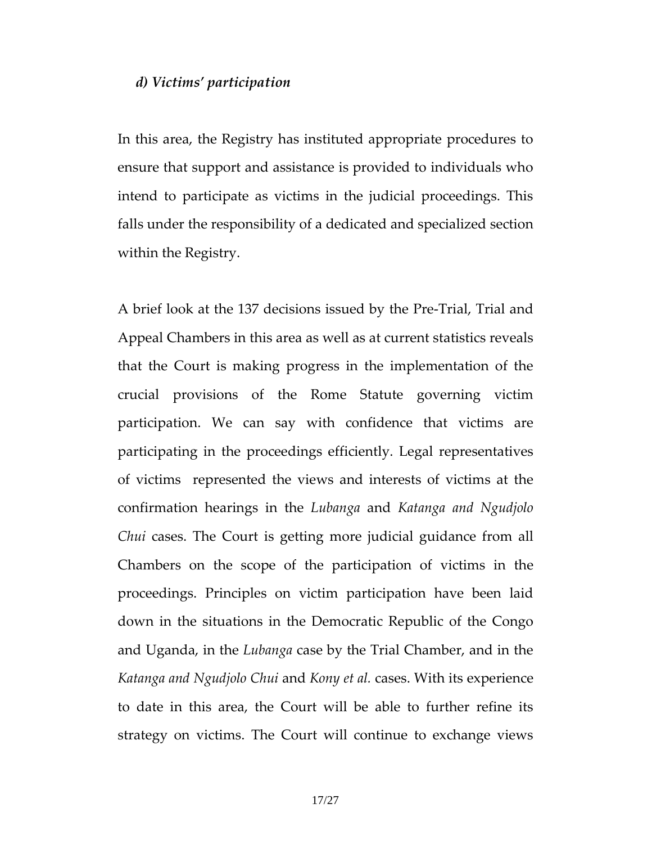## d) Victims' participation

In this area, the Registry has instituted appropriate procedures to ensure that support and assistance is provided to individuals who intend to participate as victims in the judicial proceedings. This falls under the responsibility of a dedicated and specialized section within the Registry.

A brief look at the 137 decisions issued by the Pre-Trial, Trial and Appeal Chambers in this area as well as at current statistics reveals that the Court is making progress in the implementation of the crucial provisions of the Rome Statute governing victim participation. We can say with confidence that victims are participating in the proceedings efficiently. Legal representatives of victims represented the views and interests of victims at the confirmation hearings in the Lubanga and Katanga and Ngudjolo Chui cases. The Court is getting more judicial guidance from all Chambers on the scope of the participation of victims in the proceedings. Principles on victim participation have been laid down in the situations in the Democratic Republic of the Congo and Uganda, in the Lubanga case by the Trial Chamber, and in the Katanga and Ngudjolo Chui and Kony et al. cases. With its experience to date in this area, the Court will be able to further refine its strategy on victims. The Court will continue to exchange views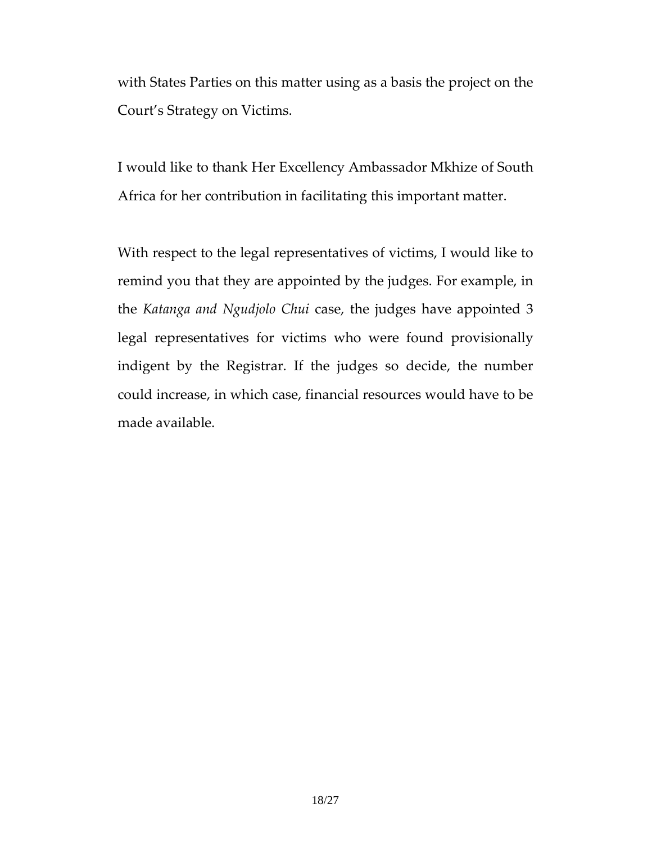with States Parties on this matter using as a basis the project on the Court's Strategy on Victims.

I would like to thank Her Excellency Ambassador Mkhize of South Africa for her contribution in facilitating this important matter.

With respect to the legal representatives of victims, I would like to remind you that they are appointed by the judges. For example, in the Katanga and Ngudjolo Chui case, the judges have appointed 3 legal representatives for victims who were found provisionally indigent by the Registrar. If the judges so decide, the number could increase, in which case, financial resources would have to be made available.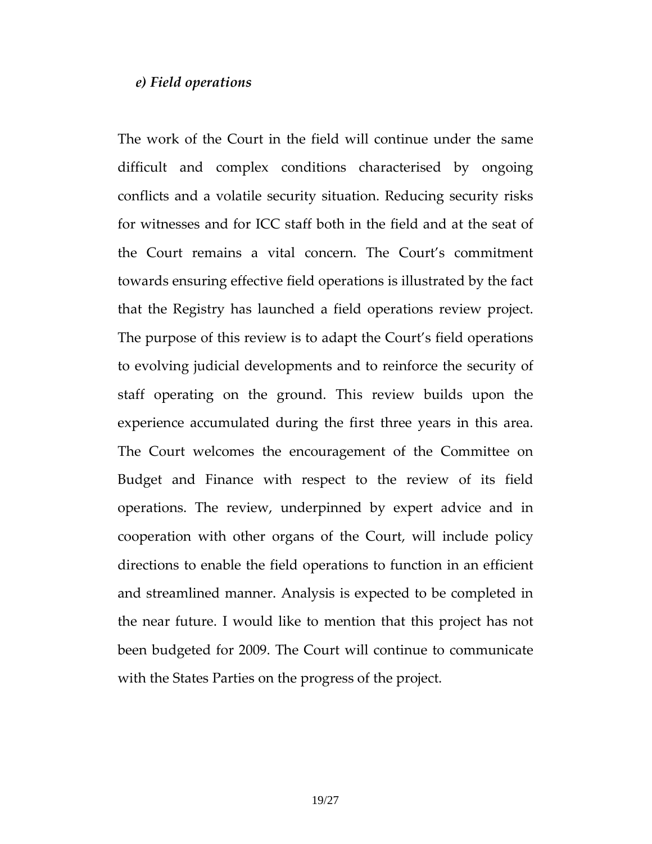## e) Field operations

The work of the Court in the field will continue under the same difficult and complex conditions characterised by ongoing conflicts and a volatile security situation. Reducing security risks for witnesses and for ICC staff both in the field and at the seat of the Court remains a vital concern. The Court's commitment towards ensuring effective field operations is illustrated by the fact that the Registry has launched a field operations review project. The purpose of this review is to adapt the Court's field operations to evolving judicial developments and to reinforce the security of staff operating on the ground. This review builds upon the experience accumulated during the first three years in this area. The Court welcomes the encouragement of the Committee on Budget and Finance with respect to the review of its field operations. The review, underpinned by expert advice and in cooperation with other organs of the Court, will include policy directions to enable the field operations to function in an efficient and streamlined manner. Analysis is expected to be completed in the near future. I would like to mention that this project has not been budgeted for 2009. The Court will continue to communicate with the States Parties on the progress of the project.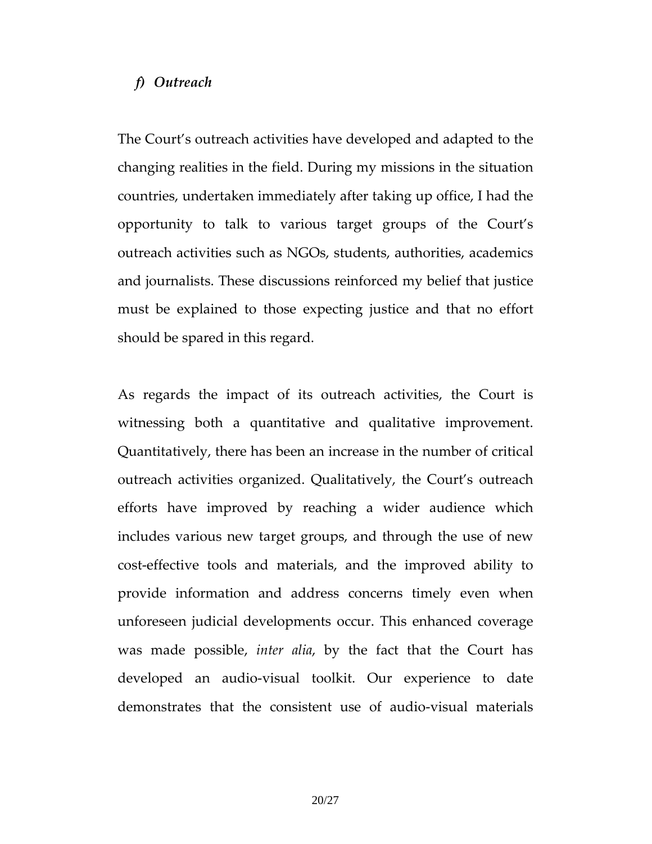## f) Outreach

The Court's outreach activities have developed and adapted to the changing realities in the field. During my missions in the situation countries, undertaken immediately after taking up office, I had the opportunity to talk to various target groups of the Court's outreach activities such as NGOs, students, authorities, academics and journalists. These discussions reinforced my belief that justice must be explained to those expecting justice and that no effort should be spared in this regard.

As regards the impact of its outreach activities, the Court is witnessing both a quantitative and qualitative improvement. Quantitatively, there has been an increase in the number of critical outreach activities organized. Qualitatively, the Court's outreach efforts have improved by reaching a wider audience which includes various new target groups, and through the use of new cost-effective tools and materials, and the improved ability to provide information and address concerns timely even when unforeseen judicial developments occur. This enhanced coverage was made possible, inter alia, by the fact that the Court has developed an audio-visual toolkit. Our experience to date demonstrates that the consistent use of audio-visual materials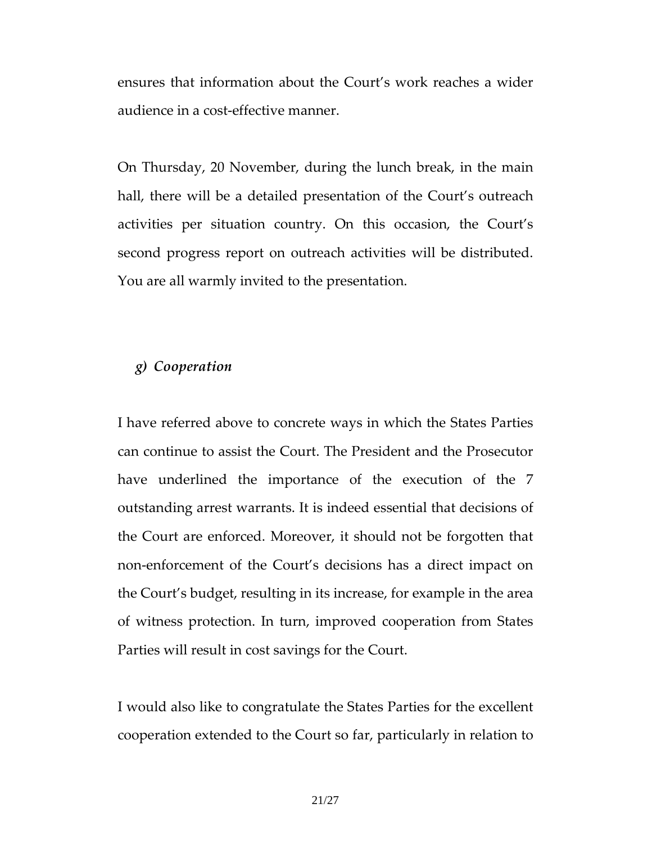ensures that information about the Court's work reaches a wider audience in a cost-effective manner.

On Thursday, 20 November, during the lunch break, in the main hall, there will be a detailed presentation of the Court's outreach activities per situation country. On this occasion, the Court's second progress report on outreach activities will be distributed. You are all warmly invited to the presentation.

# g) Cooperation

I have referred above to concrete ways in which the States Parties can continue to assist the Court. The President and the Prosecutor have underlined the importance of the execution of the 7 outstanding arrest warrants. It is indeed essential that decisions of the Court are enforced. Moreover, it should not be forgotten that non-enforcement of the Court's decisions has a direct impact on the Court's budget, resulting in its increase, for example in the area of witness protection. In turn, improved cooperation from States Parties will result in cost savings for the Court.

I would also like to congratulate the States Parties for the excellent cooperation extended to the Court so far, particularly in relation to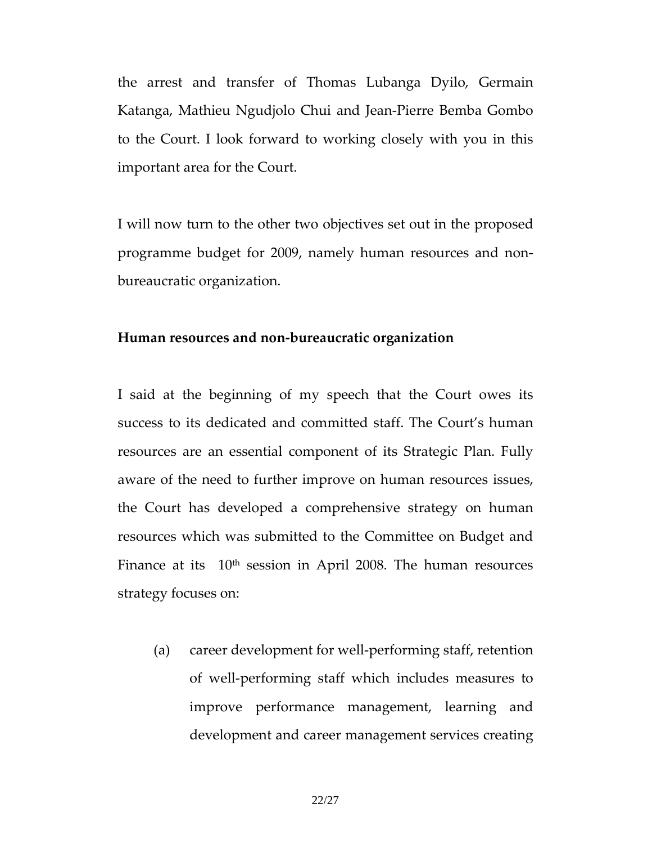the arrest and transfer of Thomas Lubanga Dyilo, Germain Katanga, Mathieu Ngudjolo Chui and Jean-Pierre Bemba Gombo to the Court. I look forward to working closely with you in this important area for the Court.

I will now turn to the other two objectives set out in the proposed programme budget for 2009, namely human resources and nonbureaucratic organization.

#### Human resources and non-bureaucratic organization

I said at the beginning of my speech that the Court owes its success to its dedicated and committed staff. The Court's human resources are an essential component of its Strategic Plan. Fully aware of the need to further improve on human resources issues, the Court has developed a comprehensive strategy on human resources which was submitted to the Committee on Budget and Finance at its  $10<sup>th</sup>$  session in April 2008. The human resources strategy focuses on:

(a) career development for well-performing staff, retention of well-performing staff which includes measures to improve performance management, learning and development and career management services creating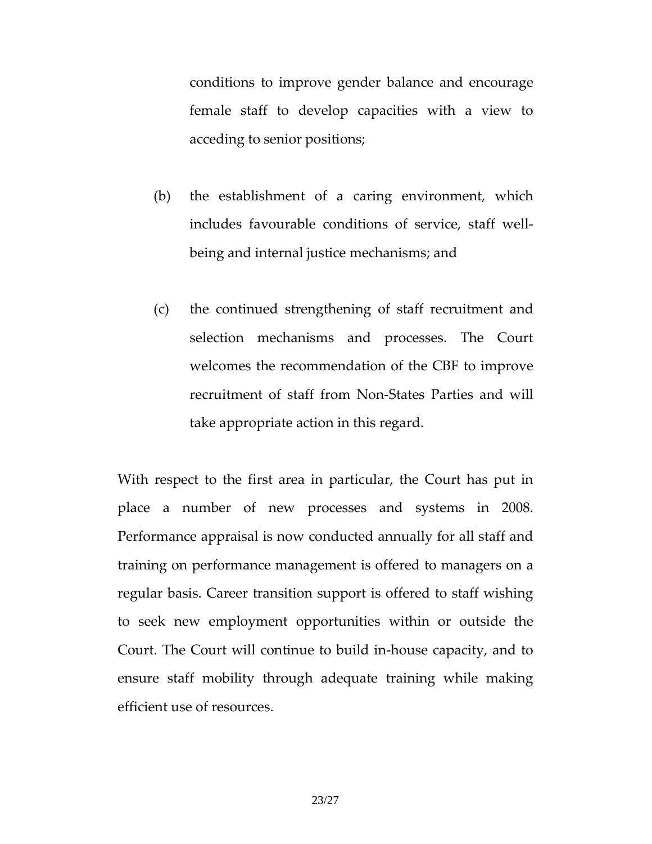conditions to improve gender balance and encourage female staff to develop capacities with a view to acceding to senior positions;

- (b) the establishment of a caring environment, which includes favourable conditions of service, staff wellbeing and internal justice mechanisms; and
- (c) the continued strengthening of staff recruitment and selection mechanisms and processes. The Court welcomes the recommendation of the CBF to improve recruitment of staff from Non-States Parties and will take appropriate action in this regard.

With respect to the first area in particular, the Court has put in place a number of new processes and systems in 2008. Performance appraisal is now conducted annually for all staff and training on performance management is offered to managers on a regular basis. Career transition support is offered to staff wishing to seek new employment opportunities within or outside the Court. The Court will continue to build in-house capacity, and to ensure staff mobility through adequate training while making efficient use of resources.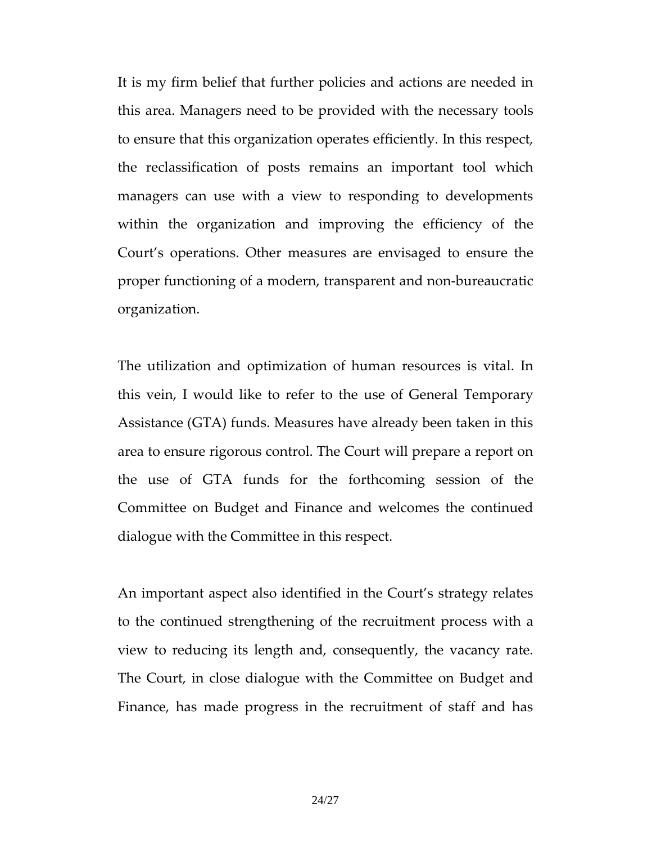It is my firm belief that further policies and actions are needed in this area. Managers need to be provided with the necessary tools to ensure that this organization operates efficiently. In this respect, the reclassification of posts remains an important tool which managers can use with a view to responding to developments within the organization and improving the efficiency of the Court's operations. Other measures are envisaged to ensure the proper functioning of a modern, transparent and non-bureaucratic organization.

The utilization and optimization of human resources is vital. In this vein, I would like to refer to the use of General Temporary Assistance (GTA) funds. Measures have already been taken in this area to ensure rigorous control. The Court will prepare a report on the use of GTA funds for the forthcoming session of the Committee on Budget and Finance and welcomes the continued dialogue with the Committee in this respect.

An important aspect also identified in the Court's strategy relates to the continued strengthening of the recruitment process with a view to reducing its length and, consequently, the vacancy rate. The Court, in close dialogue with the Committee on Budget and Finance, has made progress in the recruitment of staff and has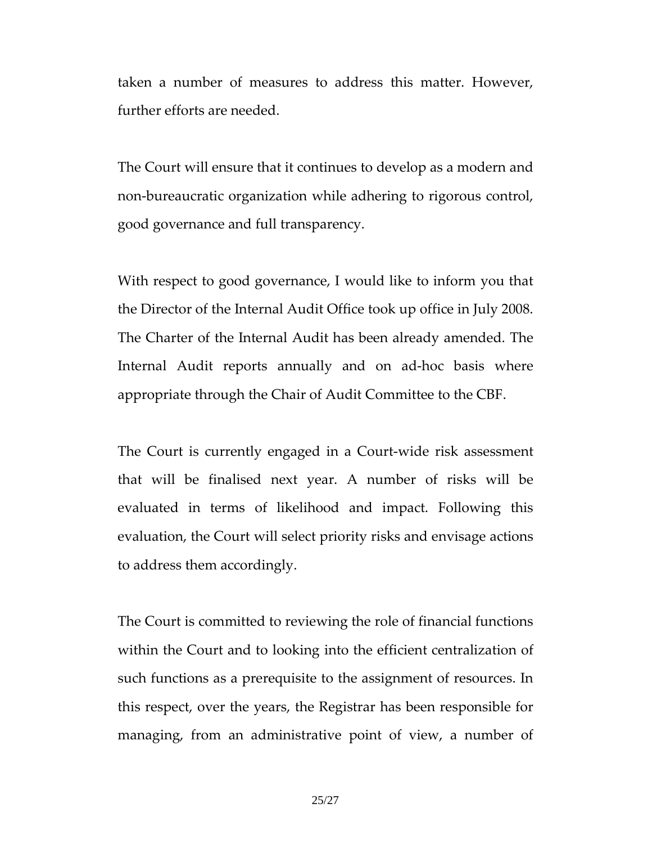taken a number of measures to address this matter. However, further efforts are needed.

The Court will ensure that it continues to develop as a modern and non-bureaucratic organization while adhering to rigorous control, good governance and full transparency.

With respect to good governance, I would like to inform you that the Director of the Internal Audit Office took up office in July 2008. The Charter of the Internal Audit has been already amended. The Internal Audit reports annually and on ad-hoc basis where appropriate through the Chair of Audit Committee to the CBF.

The Court is currently engaged in a Court-wide risk assessment that will be finalised next year. A number of risks will be evaluated in terms of likelihood and impact. Following this evaluation, the Court will select priority risks and envisage actions to address them accordingly.

The Court is committed to reviewing the role of financial functions within the Court and to looking into the efficient centralization of such functions as a prerequisite to the assignment of resources. In this respect, over the years, the Registrar has been responsible for managing, from an administrative point of view, a number of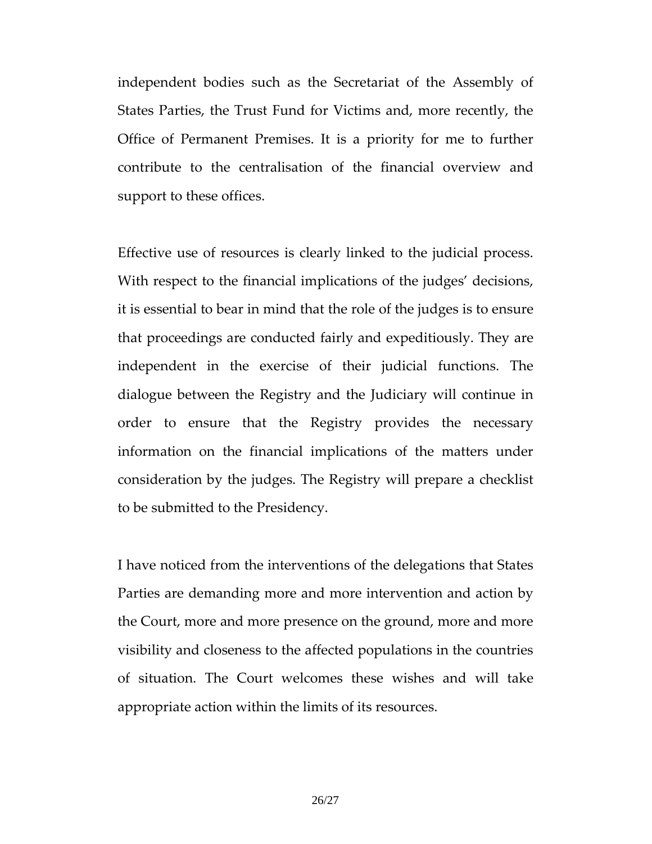independent bodies such as the Secretariat of the Assembly of States Parties, the Trust Fund for Victims and, more recently, the Office of Permanent Premises. It is a priority for me to further contribute to the centralisation of the financial overview and support to these offices.

Effective use of resources is clearly linked to the judicial process. With respect to the financial implications of the judges' decisions, it is essential to bear in mind that the role of the judges is to ensure that proceedings are conducted fairly and expeditiously. They are independent in the exercise of their judicial functions. The dialogue between the Registry and the Judiciary will continue in order to ensure that the Registry provides the necessary information on the financial implications of the matters under consideration by the judges. The Registry will prepare a checklist to be submitted to the Presidency.

I have noticed from the interventions of the delegations that States Parties are demanding more and more intervention and action by the Court, more and more presence on the ground, more and more visibility and closeness to the affected populations in the countries of situation. The Court welcomes these wishes and will take appropriate action within the limits of its resources.